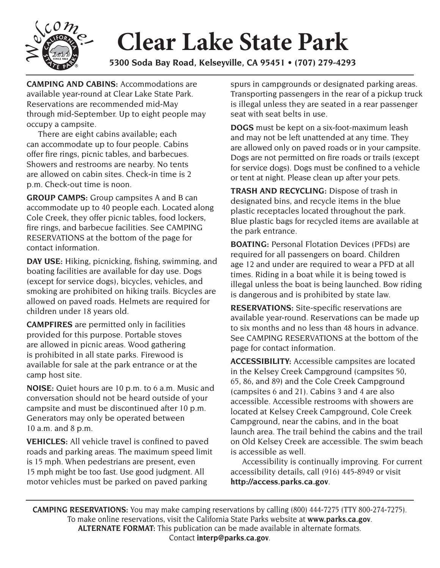

## **Clear Lake State Park**

**5300 Soda Bay Road, Kelseyville, CA 95451 • (707) 279-4293** 

**CAMPING AND CABINS:** Accommodations are available year-round at Clear Lake State Park. Reservations are recommended mid-May through mid-September. Up to eight people may occupy a campsite.

There are eight cabins available**;** each can accommodate up to four people. Cabins offer fire rings, picnic tables, and barbecues. Showers and restrooms are nearby. No tents are allowed on cabin sites. Check-in time is 2 p.m. Check-out time is noon.

**GROUP CAMPS:** Group campsites A and B can accommodate up to 40 people each. Located along Cole Creek, they offer picnic tables, food lockers, fire rings, and barbecue facilities. See CAMPING RESERVATIONS at the bottom of the page for contact information.

**DAY USE:** Hiking, picnicking, fishing, swimming, and boating facilities are available for day use. Dogs (except for service dogs), bicycles, vehicles, and smoking are prohibited on hiking trails. Bicycles are allowed on paved roads. Helmets are required for children under 18 years old.

**CAMPFIRES** are permitted only in facilities provided for this purpose. Portable stoves are allowed in picnic areas. Wood gathering is prohibited in all state parks. Firewood is available for sale at the park entrance or at the camp host site.

**NOISE:** Quiet hours are 10 p.m. to 6 a.m. Music and conversation should not be heard outside of your campsite and must be discontinued after 10 p.m. Generators may only be operated between 10 a.m. and 8 p.m.

**VEHICLES:** All vehicle travel is confined to paved roads and parking areas. The maximum speed limit is 15 mph. When pedestrians are present, even 15 mph might be too fast. Use good judgment. All motor vehicles must be parked on paved parking

spurs in campgrounds or designated parking areas. Transporting passengers in the rear of a pickup truck is illegal unless they are seated in a rear passenger seat with seat belts in use.

 **DOGS** must be kept on a six-foot-maximum leash Dogs are not permitted on fire roads or trails (except for service dogs). Dogs must be confined to a vehicle and may not be left unattended at any time. They are allowed only on paved roads or in your campsite. or tent at night. Please clean up after your pets.

**TRASH AND RECYCLING:** Dispose of trash in designated bins, and recycle items in the blue plastic receptacles located throughout the park. Blue plastic bags for recycled items are available at the park entrance.

**BOATING:** Personal Flotation Devices (PFDs) are required for all passengers on board. Children age 12 and under are required to wear a PFD at all times. Riding in a boat while it is being towed is illegal unless the boat is being launched. Bow riding is dangerous and is prohibited by state law.

**RESERVATIONS:** Site-specific reservations are available year-round. Reservations can be made up to six months and no less than 48 hours in advance. See CAMPING RESERVATIONS at the bottom of the page for contact information.

**ACCESSIBILITY:** Accessible campsites are located in the Kelsey Creek Campground (campsites 50, 65, 86, and 89) and the Cole Creek Campground (campsites 6 and 21). Cabins 3 and 4 are also accessible. Accessible restrooms with showers are located at Kelsey Creek Campground, Cole Creek Campground, near the cabins, and in the boat launch area. The trail behind the cabins and the trail on Old Kelsey Creek are accessible. The swim beach is accessible as well.

Accessibility is continually improving. For current accessibility details, call (916) 445-8949 or visit **http://access.parks.ca.gov**.

**CAMPING RESERVATIONS:** You may make camping reservations by calling (800) 444-7275 (TTY 800-274-7275). To make online reservations, visit the California State Parks website at **www.parks.ca.gov**. **ALTERNATE FORMAT:** This publication can be made available in alternate formats. Contact **interp@parks.ca.gov**.